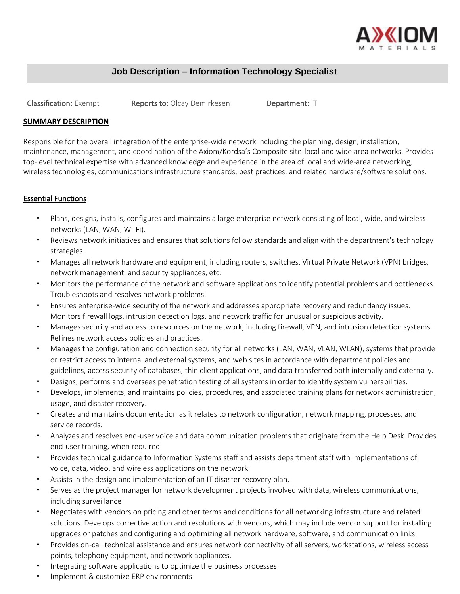

# **Job Description – Information Technology Specialist**

Classification: Exempt Reports to: Olcay Demirkesen Department: IT

## **SUMMARY DESCRIPTION**

Responsible for the overall integration of the enterprise-wide network including the planning, design, installation, maintenance, management, and coordination of the Axiom/Kordsa's Composite site-local and wide area networks. Provides top-level technical expertise with advanced knowledge and experience in the area of local and wide-area networking, wireless technologies, communications infrastructure standards, best practices, and related hardware/software solutions.

# Essential Functions

- Plans, designs, installs, configures and maintains a large enterprise network consisting of local, wide, and wireless networks (LAN, WAN, Wi-Fi).
- Reviews network initiatives and ensures that solutions follow standards and align with the department's technology strategies.
- Manages all network hardware and equipment, including routers, switches, Virtual Private Network (VPN) bridges, network management, and security appliances, etc.
- Monitors the performance of the network and software applications to identify potential problems and bottlenecks. Troubleshoots and resolves network problems.
- Ensures enterprise-wide security of the network and addresses appropriate recovery and redundancy issues. Monitors firewall logs, intrusion detection logs, and network traffic for unusual or suspicious activity.
- Manages security and access to resources on the network, including firewall, VPN, and intrusion detection systems. Refines network access policies and practices.
- Manages the configuration and connection security for all networks (LAN, WAN, VLAN, WLAN), systems that provide or restrict access to internal and external systems, and web sites in accordance with department policies and guidelines, access security of databases, thin client applications, and data transferred both internally and externally.
- Designs, performs and oversees penetration testing of all systems in order to identify system vulnerabilities.
- Develops, implements, and maintains policies, procedures, and associated training plans for network administration, usage, and disaster recovery.
- Creates and maintains documentation as it relates to network configuration, network mapping, processes, and service records.
- Analyzes and resolves end-user voice and data communication problems that originate from the Help Desk. Provides end-user training, when required.
- Provides technical guidance to Information Systems staff and assists department staff with implementations of voice, data, video, and wireless applications on the network.
- Assists in the design and implementation of an IT disaster recovery plan.
- Serves as the project manager for network development projects involved with data, wireless communications, including surveillance
- Negotiates with vendors on pricing and other terms and conditions for all networking infrastructure and related solutions. Develops corrective action and resolutions with vendors, which may include vendor support for installing upgrades or patches and configuring and optimizing all network hardware, software, and communication links.
- Provides on-call technical assistance and ensures network connectivity of all servers, workstations, wireless access points, telephony equipment, and network appliances.
- Integrating software applications to optimize the business processes
- Implement & customize ERP environments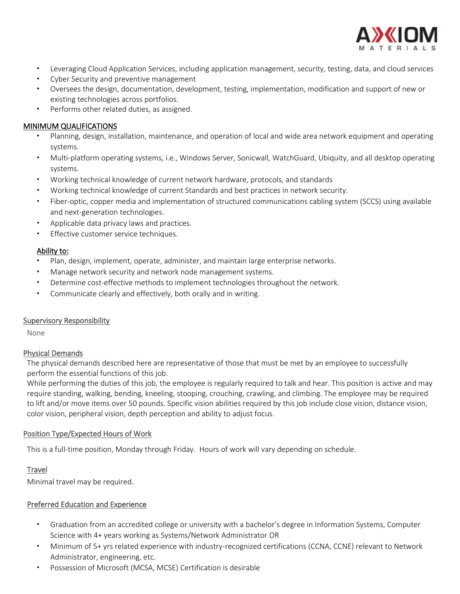

- Leveraging Cloud Application Services, including application management, security, testing, data, and cloud services
- Cyber Security and preventive management
- Oversees the design, documentation, development, testing, implementation, modification and support of new or existing technologies across portfolios.
- Performs other related duties, as assigned.

## MINIMUM QUALIFICATIONS

- Planning, design, installation, maintenance, and operation of local and wide area network equipment and operating systems.
- Multi-platform operating systems, i.e., Windows Server, Sonicwall, WatchGuard, Ubiquity, and all desktop operating systems.
- Working technical knowledge of current network hardware, protocols, and standards
- Working technical knowledge of current Standards and best practices in network security.
- Fiber-optic, copper media and implementation of structured communications cabling system (SCCS) using available and next-generation technologies.
- Applicable data privacy laws and practices.
- Effective customer service techniques.

## Ability to:

- Plan, design, implement, operate, administer, and maintain large enterprise networks.
- Manage network security and network node management systems.
- Determine cost-effective methods to implement technologies throughout the network.
- Communicate clearly and effectively, both orally and in writing.

### Supervisory Responsibility

None

### Physical Demands

The physical demands described here are representative of those that must be met by an employee to successfully perform the essential functions of this job.

While performing the duties of this job, the employee is regularly required to talk and hear. This position is active and may require standing, walking, bending, kneeling, stooping, crouching, crawling, and climbing. The employee may be required to lift and/or move items over 50 pounds. Specific vision abilities required by this job include close vision, distance vision, color vision, peripheral vision, depth perception and ability to adjust focus.

### Position Type/Expected Hours of Work

This is a full-time position, Monday through Friday. Hours of work will vary depending on schedule.

# **Travel**

Minimal travel may be required.

# Preferred Education and Experience

- Graduation from an accredited college or university with a bachelor's degree in Information Systems, Computer Science with 4+ years working as Systems/Network Administrator OR
- Minimum of 5+ yrs related experience with industry-recognized certifications (CCNA, CCNE) relevant to Network Administrator, engineering, etc.
- Possession of Microsoft (MCSA, MCSE) Certification is desirable